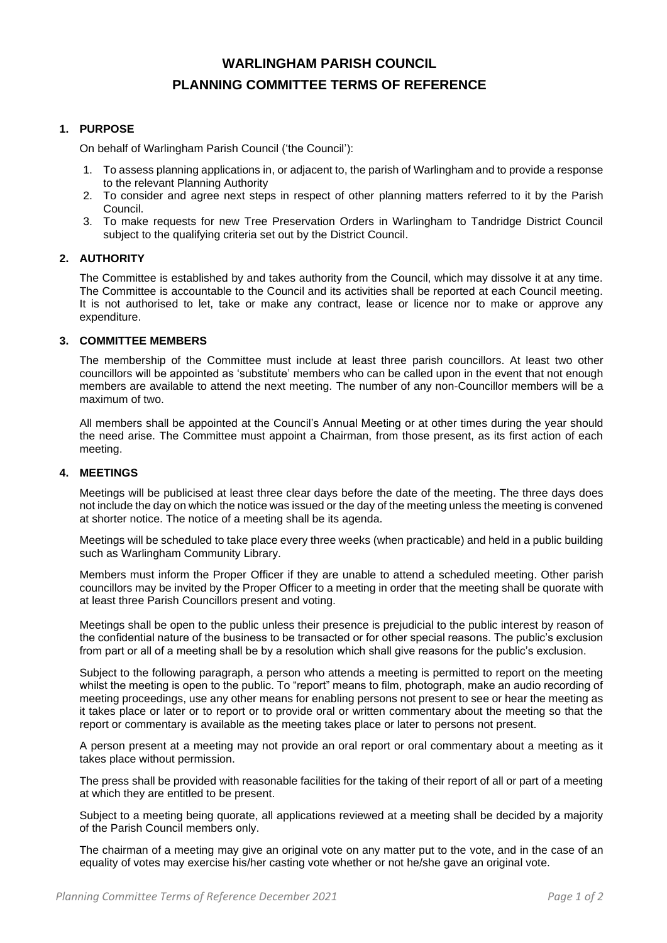# **WARLINGHAM PARISH COUNCIL PLANNING COMMITTEE TERMS OF REFERENCE**

# **1. PURPOSE**

On behalf of Warlingham Parish Council ('the Council'):

- 1. To assess planning applications in, or adjacent to, the parish of Warlingham and to provide a response to the relevant Planning Authority
- 2. To consider and agree next steps in respect of other planning matters referred to it by the Parish Council.
- 3. To make requests for new Tree Preservation Orders in Warlingham to Tandridge District Council subject to the qualifying criteria set out by the District Council.

## **2. AUTHORITY**

The Committee is established by and takes authority from the Council, which may dissolve it at any time. The Committee is accountable to the Council and its activities shall be reported at each Council meeting. It is not authorised to let, take or make any contract, lease or licence nor to make or approve any expenditure.

## **3. COMMITTEE MEMBERS**

The membership of the Committee must include at least three parish councillors. At least two other councillors will be appointed as 'substitute' members who can be called upon in the event that not enough members are available to attend the next meeting. The number of any non-Councillor members will be a maximum of two.

All members shall be appointed at the Council's Annual Meeting or at other times during the year should the need arise. The Committee must appoint a Chairman, from those present, as its first action of each meeting.

## **4. MEETINGS**

Meetings will be publicised at least three clear days before the date of the meeting. The three days does not include the day on which the notice was issued or the day of the meeting unless the meeting is convened at shorter notice. The notice of a meeting shall be its agenda.

Meetings will be scheduled to take place every three weeks (when practicable) and held in a public building such as Warlingham Community Library.

Members must inform the Proper Officer if they are unable to attend a scheduled meeting. Other parish councillors may be invited by the Proper Officer to a meeting in order that the meeting shall be quorate with at least three Parish Councillors present and voting.

Meetings shall be open to the public unless their presence is prejudicial to the public interest by reason of the confidential nature of the business to be transacted or for other special reasons. The public's exclusion from part or all of a meeting shall be by a resolution which shall give reasons for the public's exclusion.

Subject to the following paragraph, a person who attends a meeting is permitted to report on the meeting whilst the meeting is open to the public. To "report" means to film, photograph, make an audio recording of meeting proceedings, use any other means for enabling persons not present to see or hear the meeting as it takes place or later or to report or to provide oral or written commentary about the meeting so that the report or commentary is available as the meeting takes place or later to persons not present.

A person present at a meeting may not provide an oral report or oral commentary about a meeting as it takes place without permission.

The press shall be provided with reasonable facilities for the taking of their report of all or part of a meeting at which they are entitled to be present.

Subject to a meeting being quorate, all applications reviewed at a meeting shall be decided by a majority of the Parish Council members only.

The chairman of a meeting may give an original vote on any matter put to the vote, and in the case of an equality of votes may exercise his/her casting vote whether or not he/she gave an original vote.